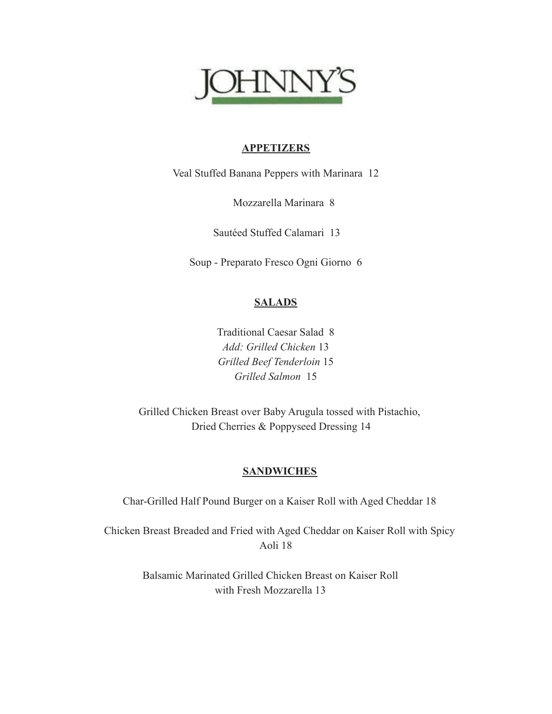

## **APPETIZERS**

Veal Stuffed Banana Peppers with Marinara 12

Mozzarella Marinara 8

Sautéed Stuffed Calamari 13

Soup - Preparato Fresco Ogni Giorno 6

# **SALADS**

Traditional Caesar Salad 8 *Add: Grilled Chicken* 13 *Grilled Beef Tenderloin* 15 *Grilled Salmon* 15

Grilled Chicken Breast over Baby Arugula tossed with Pistachio, Dried Cherries & Poppyseed Dressing 14

## **SANDWICHES**

Char-Grilled Half Pound Burger on a Kaiser Roll with Aged Cheddar 18

Chicken Breast Breaded and Fried with Aged Cheddar on Kaiser Roll with Spicy Aoli 18

> Balsamic Marinated Grilled Chicken Breast on Kaiser Roll with Fresh Mozzarella 13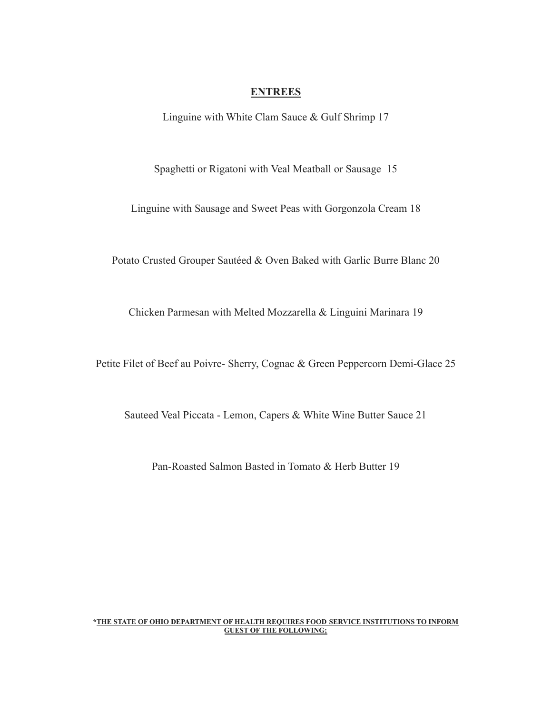### **ENTREES**

Linguine with White Clam Sauce & Gulf Shrimp 17

Spaghetti or Rigatoni with Veal Meatball or Sausage 15

Linguine with Sausage and Sweet Peas with Gorgonzola Cream 18

Potato Crusted Grouper Sautéed & Oven Baked with Garlic Burre Blanc 20

Chicken Parmesan with Melted Mozzarella & Linguini Marinara 19

Petite Filet of Beef au Poivre- Sherry, Cognac & Green Peppercorn Demi-Glace 25

Sauteed Veal Piccata - Lemon, Capers & White Wine Butter Sauce 21

Pan-Roasted Salmon Basted in Tomato & Herb Butter 19

#### **\*THE STATE OF OHIO DEPARTMENT OF HEALTH REQUIRES FOOD SERVICE INSTITUTIONS TO INFORM GUEST OF THE FOLLOWING;**